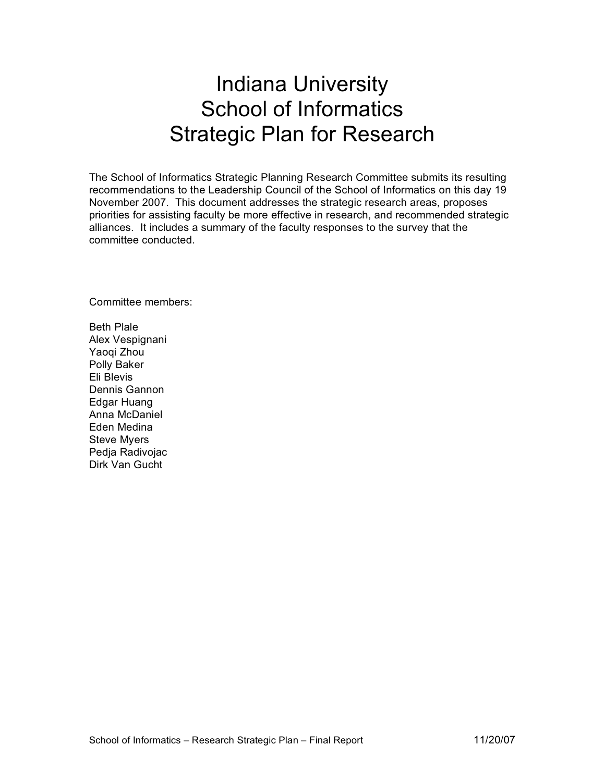# Indiana University School of Informatics Strategic Plan for Research

The School of Informatics Strategic Planning Research Committee submits its resulting recommendations to the Leadership Council of the School of Informatics on this day 19 November 2007. This document addresses the strategic research areas, proposes priorities for assisting faculty be more effective in research, and recommended strategic alliances. It includes a summary of the faculty responses to the survey that the committee conducted.

Committee members:

Beth Plale Alex Vespignani Yaoqi Zhou Polly Baker Eli Blevis Dennis Gannon Edgar Huang Anna McDaniel Eden Medina Steve Myers

Pedja Radivojac Dirk Van Gucht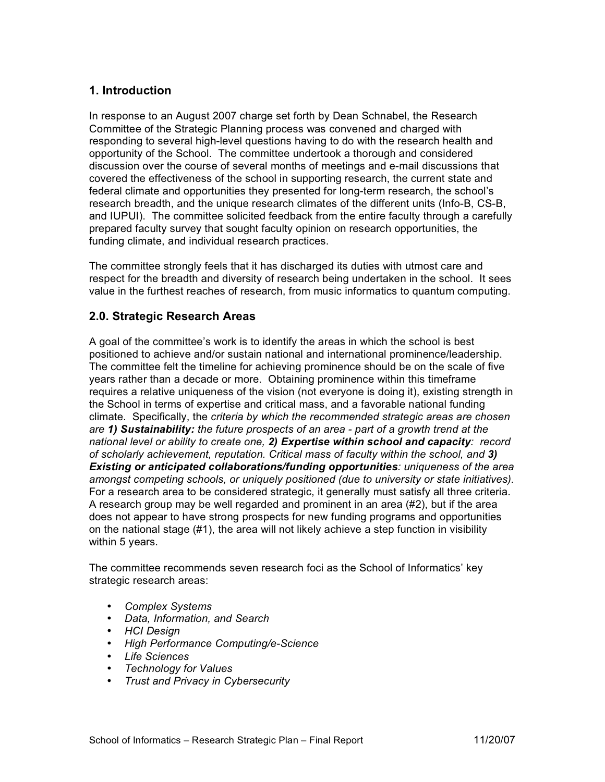# **1. Introduction**

In response to an August 2007 charge set forth by Dean Schnabel, the Research Committee of the Strategic Planning process was convened and charged with responding to several high-level questions having to do with the research health and opportunity of the School. The committee undertook a thorough and considered discussion over the course of several months of meetings and e-mail discussions that covered the effectiveness of the school in supporting research, the current state and federal climate and opportunities they presented for long-term research, the school's research breadth, and the unique research climates of the different units (Info-B, CS-B, and IUPUI). The committee solicited feedback from the entire faculty through a carefully prepared faculty survey that sought faculty opinion on research opportunities, the funding climate, and individual research practices.

The committee strongly feels that it has discharged its duties with utmost care and respect for the breadth and diversity of research being undertaken in the school. It sees value in the furthest reaches of research, from music informatics to quantum computing.

### **2.0. Strategic Research Areas**

A goal of the committee's work is to identify the areas in which the school is best positioned to achieve and/or sustain national and international prominence/leadership. The committee felt the timeline for achieving prominence should be on the scale of five years rather than a decade or more. Obtaining prominence within this timeframe requires a relative uniqueness of the vision (not everyone is doing it), existing strength in the School in terms of expertise and critical mass, and a favorable national funding climate. Specifically, the *criteria by which the recommended strategic areas are chosen are 1) Sustainability: the future prospects of an area - part of a growth trend at the national level or ability to create one, 2) Expertise within school and capacity: record of scholarly achievement, reputation. Critical mass of faculty within the school, and 3) Existing or anticipated collaborations/funding opportunities: uniqueness of the area amongst competing schools, or uniquely positioned (due to university or state initiatives).* For a research area to be considered strategic, it generally must satisfy all three criteria. A research group may be well regarded and prominent in an area (#2), but if the area does not appear to have strong prospects for new funding programs and opportunities on the national stage (#1), the area will not likely achieve a step function in visibility within 5 years.

The committee recommends seven research foci as the School of Informatics' key strategic research areas:

- *Complex Systems*
- *Data, Information, and Search*
- *HCI Design*
- *High Performance Computing/e-Science*
- *Life Sciences*
- *Technology for Values*
- *Trust and Privacy in Cybersecurity*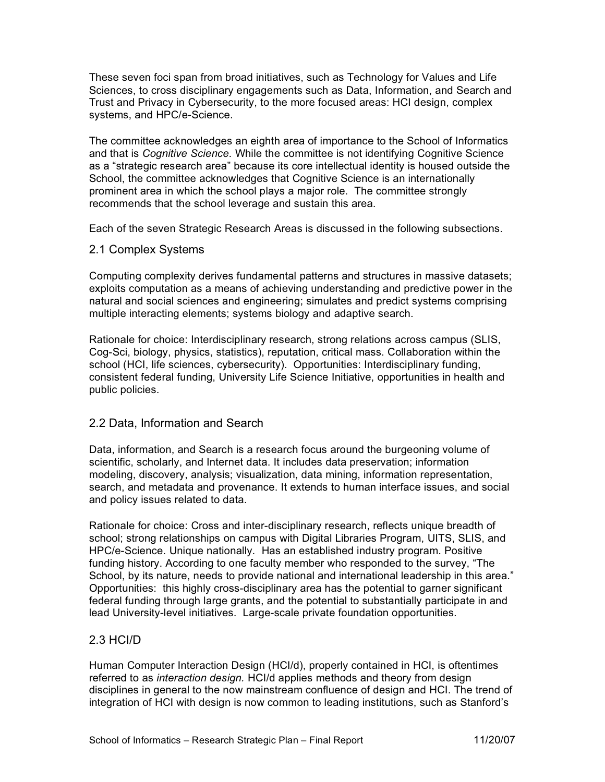These seven foci span from broad initiatives, such as Technology for Values and Life Sciences, to cross disciplinary engagements such as Data, Information, and Search and Trust and Privacy in Cybersecurity, to the more focused areas: HCI design, complex systems, and HPC/e-Science.

The committee acknowledges an eighth area of importance to the School of Informatics and that is *Cognitive Science*. While the committee is not identifying Cognitive Science as a "strategic research area" because its core intellectual identity is housed outside the School, the committee acknowledges that Cognitive Science is an internationally prominent area in which the school plays a major role. The committee strongly recommends that the school leverage and sustain this area.

Each of the seven Strategic Research Areas is discussed in the following subsections.

#### 2.1 Complex Systems

Computing complexity derives fundamental patterns and structures in massive datasets; exploits computation as a means of achieving understanding and predictive power in the natural and social sciences and engineering; simulates and predict systems comprising multiple interacting elements; systems biology and adaptive search.

Rationale for choice: Interdisciplinary research, strong relations across campus (SLIS, Cog-Sci, biology, physics, statistics), reputation, critical mass. Collaboration within the school (HCI, life sciences, cybersecurity). Opportunities: Interdisciplinary funding, consistent federal funding, University Life Science Initiative, opportunities in health and public policies.

2.2 Data, Information and Search

Data, information, and Search is a research focus around the burgeoning volume of scientific, scholarly, and Internet data. It includes data preservation; information modeling, discovery, analysis; visualization, data mining, information representation, search, and metadata and provenance. It extends to human interface issues, and social and policy issues related to data.

Rationale for choice: Cross and inter-disciplinary research, reflects unique breadth of school; strong relationships on campus with Digital Libraries Program, UITS, SLIS, and HPC/e-Science. Unique nationally. Has an established industry program. Positive funding history. According to one faculty member who responded to the survey, "The School, by its nature, needs to provide national and international leadership in this area." Opportunities: this highly cross-disciplinary area has the potential to garner significant federal funding through large grants, and the potential to substantially participate in and lead University-level initiatives. Large-scale private foundation opportunities.

# 2.3 HCI/D

Human Computer Interaction Design (HCI/d), properly contained in HCI, is oftentimes referred to as *interaction design.* HCI/d applies methods and theory from design disciplines in general to the now mainstream confluence of design and HCI. The trend of integration of HCI with design is now common to leading institutions, such as Stanford's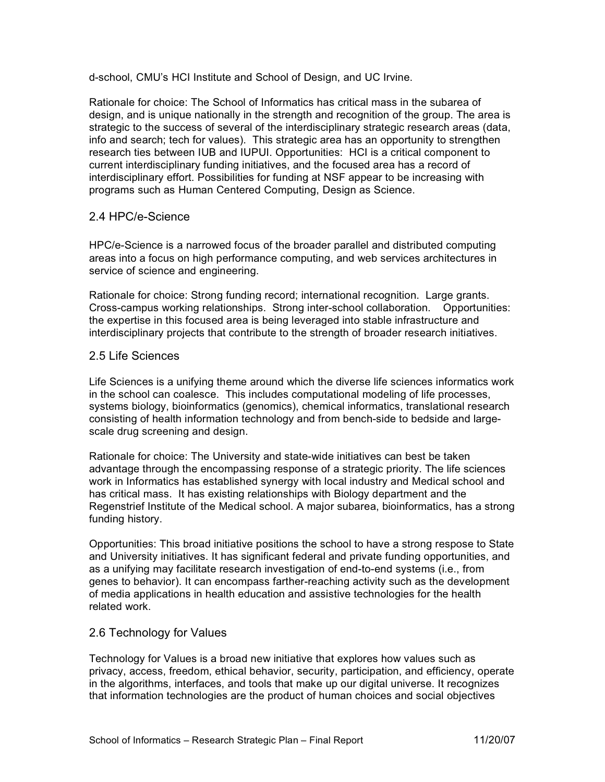d-school, CMU's HCI Institute and School of Design, and UC Irvine.

Rationale for choice: The School of Informatics has critical mass in the subarea of design, and is unique nationally in the strength and recognition of the group. The area is strategic to the success of several of the interdisciplinary strategic research areas (data, info and search; tech for values). This strategic area has an opportunity to strengthen research ties between IUB and IUPUI. Opportunities: HCI is a critical component to current interdisciplinary funding initiatives, and the focused area has a record of interdisciplinary effort. Possibilities for funding at NSF appear to be increasing with programs such as Human Centered Computing, Design as Science.

#### 2.4 HPC/e-Science

HPC/e-Science is a narrowed focus of the broader parallel and distributed computing areas into a focus on high performance computing, and web services architectures in service of science and engineering.

Rationale for choice: Strong funding record; international recognition. Large grants. Cross-campus working relationships. Strong inter-school collaboration. Opportunities: the expertise in this focused area is being leveraged into stable infrastructure and interdisciplinary projects that contribute to the strength of broader research initiatives.

# 2.5 Life Sciences

Life Sciences is a unifying theme around which the diverse life sciences informatics work in the school can coalesce. This includes computational modeling of life processes, systems biology, bioinformatics (genomics), chemical informatics, translational research consisting of health information technology and from bench-side to bedside and largescale drug screening and design.

Rationale for choice: The University and state-wide initiatives can best be taken advantage through the encompassing response of a strategic priority. The life sciences work in Informatics has established synergy with local industry and Medical school and has critical mass. It has existing relationships with Biology department and the Regenstrief Institute of the Medical school. A major subarea, bioinformatics, has a strong funding history.

Opportunities: This broad initiative positions the school to have a strong respose to State and University initiatives. It has significant federal and private funding opportunities, and as a unifying may facilitate research investigation of end-to-end systems (i.e., from genes to behavior). It can encompass farther-reaching activity such as the development of media applications in health education and assistive technologies for the health related work.

# 2.6 Technology for Values

Technology for Values is a broad new initiative that explores how values such as privacy, access, freedom, ethical behavior, security, participation, and efficiency, operate in the algorithms, interfaces, and tools that make up our digital universe. It recognizes that information technologies are the product of human choices and social objectives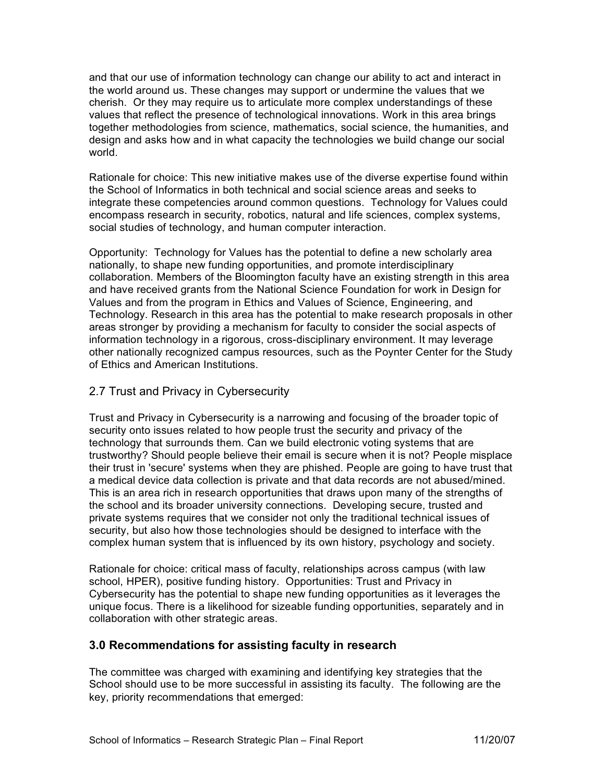and that our use of information technology can change our ability to act and interact in the world around us. These changes may support or undermine the values that we cherish. Or they may require us to articulate more complex understandings of these values that reflect the presence of technological innovations. Work in this area brings together methodologies from science, mathematics, social science, the humanities, and design and asks how and in what capacity the technologies we build change our social world.

Rationale for choice: This new initiative makes use of the diverse expertise found within the School of Informatics in both technical and social science areas and seeks to integrate these competencies around common questions. Technology for Values could encompass research in security, robotics, natural and life sciences, complex systems, social studies of technology, and human computer interaction.

Opportunity: Technology for Values has the potential to define a new scholarly area nationally, to shape new funding opportunities, and promote interdisciplinary collaboration. Members of the Bloomington faculty have an existing strength in this area and have received grants from the National Science Foundation for work in Design for Values and from the program in Ethics and Values of Science, Engineering, and Technology. Research in this area has the potential to make research proposals in other areas stronger by providing a mechanism for faculty to consider the social aspects of information technology in a rigorous, cross-disciplinary environment. It may leverage other nationally recognized campus resources, such as the Poynter Center for the Study of Ethics and American Institutions.

### 2.7 Trust and Privacy in Cybersecurity

Trust and Privacy in Cybersecurity is a narrowing and focusing of the broader topic of security onto issues related to how people trust the security and privacy of the technology that surrounds them. Can we build electronic voting systems that are trustworthy? Should people believe their email is secure when it is not? People misplace their trust in 'secure' systems when they are phished. People are going to have trust that a medical device data collection is private and that data records are not abused/mined. This is an area rich in research opportunities that draws upon many of the strengths of the school and its broader university connections. Developing secure, trusted and private systems requires that we consider not only the traditional technical issues of security, but also how those technologies should be designed to interface with the complex human system that is influenced by its own history, psychology and society.

Rationale for choice: critical mass of faculty, relationships across campus (with law school, HPER), positive funding history. Opportunities: Trust and Privacy in Cybersecurity has the potential to shape new funding opportunities as it leverages the unique focus. There is a likelihood for sizeable funding opportunities, separately and in collaboration with other strategic areas.

# **3.0 Recommendations for assisting faculty in research**

The committee was charged with examining and identifying key strategies that the School should use to be more successful in assisting its faculty. The following are the key, priority recommendations that emerged: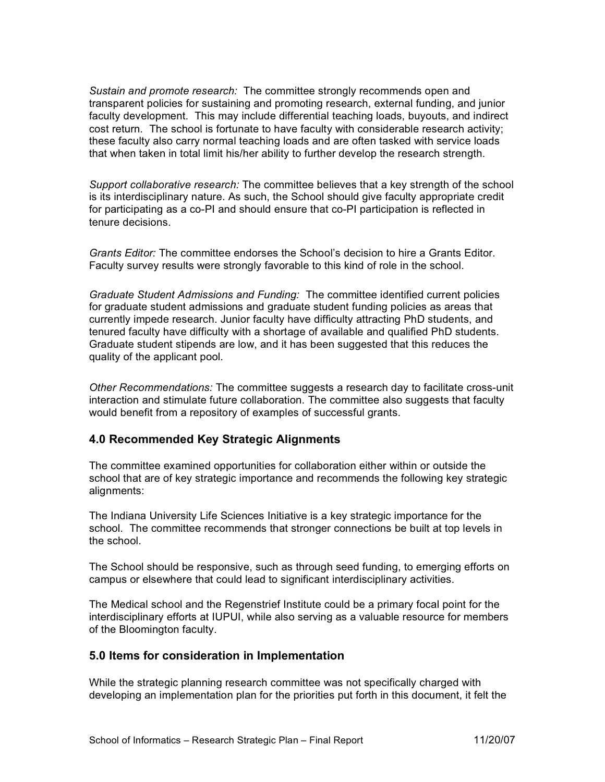*Sustain and promote research:* The committee strongly recommends open and transparent policies for sustaining and promoting research, external funding, and junior faculty development. This may include differential teaching loads, buyouts, and indirect cost return. The school is fortunate to have faculty with considerable research activity; these faculty also carry normal teaching loads and are often tasked with service loads that when taken in total limit his/her ability to further develop the research strength.

*Support collaborative research:* The committee believes that a key strength of the school is its interdisciplinary nature. As such, the School should give faculty appropriate credit for participating as a co-PI and should ensure that co-PI participation is reflected in tenure decisions.

*Grants Editor:* The committee endorses the School's decision to hire a Grants Editor. Faculty survey results were strongly favorable to this kind of role in the school.

*Graduate Student Admissions and Funding:* The committee identified current policies for graduate student admissions and graduate student funding policies as areas that currently impede research. Junior faculty have difficulty attracting PhD students, and tenured faculty have difficulty with a shortage of available and qualified PhD students. Graduate student stipends are low, and it has been suggested that this reduces the quality of the applicant pool.

*Other Recommendations:* The committee suggests a research day to facilitate cross-unit interaction and stimulate future collaboration. The committee also suggests that faculty would benefit from a repository of examples of successful grants.

#### **4.0 Recommended Key Strategic Alignments**

The committee examined opportunities for collaboration either within or outside the school that are of key strategic importance and recommends the following key strategic alignments:

The Indiana University Life Sciences Initiative is a key strategic importance for the school. The committee recommends that stronger connections be built at top levels in the school.

The School should be responsive, such as through seed funding, to emerging efforts on campus or elsewhere that could lead to significant interdisciplinary activities.

The Medical school and the Regenstrief Institute could be a primary focal point for the interdisciplinary efforts at IUPUI, while also serving as a valuable resource for members of the Bloomington faculty.

## **5.0 Items for consideration in Implementation**

While the strategic planning research committee was not specifically charged with developing an implementation plan for the priorities put forth in this document, it felt the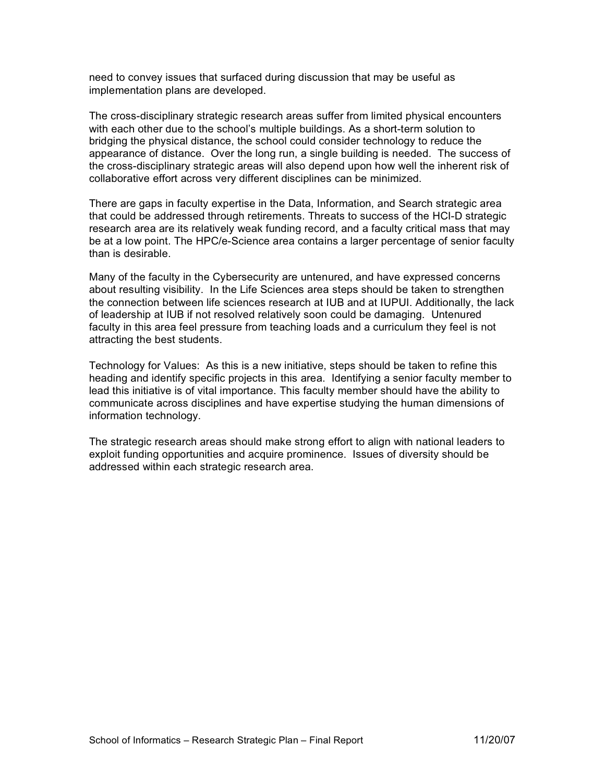need to convey issues that surfaced during discussion that may be useful as implementation plans are developed.

The cross-disciplinary strategic research areas suffer from limited physical encounters with each other due to the school's multiple buildings. As a short-term solution to bridging the physical distance, the school could consider technology to reduce the appearance of distance. Over the long run, a single building is needed. The success of the cross-disciplinary strategic areas will also depend upon how well the inherent risk of collaborative effort across very different disciplines can be minimized.

There are gaps in faculty expertise in the Data, Information, and Search strategic area that could be addressed through retirements. Threats to success of the HCI-D strategic research area are its relatively weak funding record, and a faculty critical mass that may be at a low point. The HPC/e-Science area contains a larger percentage of senior faculty than is desirable.

Many of the faculty in the Cybersecurity are untenured, and have expressed concerns about resulting visibility. In the Life Sciences area steps should be taken to strengthen the connection between life sciences research at IUB and at IUPUI. Additionally, the lack of leadership at IUB if not resolved relatively soon could be damaging. Untenured faculty in this area feel pressure from teaching loads and a curriculum they feel is not attracting the best students.

Technology for Values: As this is a new initiative, steps should be taken to refine this heading and identify specific projects in this area. Identifying a senior faculty member to lead this initiative is of vital importance. This faculty member should have the ability to communicate across disciplines and have expertise studying the human dimensions of information technology.

The strategic research areas should make strong effort to align with national leaders to exploit funding opportunities and acquire prominence. Issues of diversity should be addressed within each strategic research area.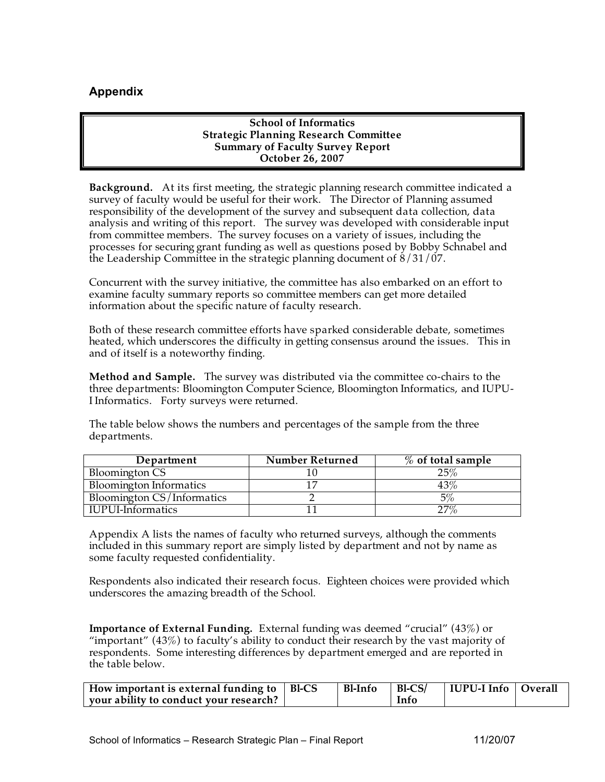# **Appendix**

**School of Informatics Strategic Planning Research Committee Summary of Faculty Survey Report October 26, 2007**

**Background.** At its first meeting, the strategic planning research committee indicated a survey of faculty would be useful for their work. The Director of Planning assumed responsibility of the development of the survey and subsequent data collection, data analysis and writing of this report. The survey was developed with considerable input from committee members. The survey focuses on a variety of issues, including the processes for securing grant funding as well as questions posed by Bobby Schnabel and the Leadership Committee in the strategic planning document of 8/31/07.

Concurrent with the survey initiative, the committee has also embarked on an effort to examine faculty summary reports so committee members can get more detailed information about the specific nature of faculty research.

Both of these research committee efforts have sparked considerable debate, sometimes heated, which underscores the difficulty in getting consensus around the issues. This in and of itself is a noteworthy finding.

**Method and Sample.** The survey was distributed via the committee co-chairs to the three departments: Bloomington Computer Science, Bloomington Informatics, and IUPU-I Informatics. Forty surveys were returned.

The table below shows the numbers and percentages of the sample from the three departments.

| Department                     | <b>Number Returned</b> | $\%$ of total sample |
|--------------------------------|------------------------|----------------------|
| <b>Bloomington CS</b>          |                        | 25%                  |
| <b>Bloomington Informatics</b> |                        | $43\%$               |
| Bloomington CS/Informatics     |                        | $5\%$                |
| IUPUI-Informatics              |                        | $27\%$               |

Appendix A lists the names of faculty who returned surveys, although the comments included in this summary report are simply listed by department and not by name as some faculty requested confidentiality.

Respondents also indicated their research focus. Eighteen choices were provided which underscores the amazing breadth of the School.

**Importance of External Funding.** External funding was deemed "crucial" (43%) or "important"  $(43%)$  to faculty's ability to conduct their research by the vast majority of respondents. Some interesting differences by department emerged and are reported in the table below.

| How important is external funding to $\parallel$ Bl-CS | $\mid$ Bl-Info $\mid$ Bl-CS/ |      | IUPU-I Info   Overall |  |
|--------------------------------------------------------|------------------------------|------|-----------------------|--|
| your ability to conduct your research?                 |                              | Info |                       |  |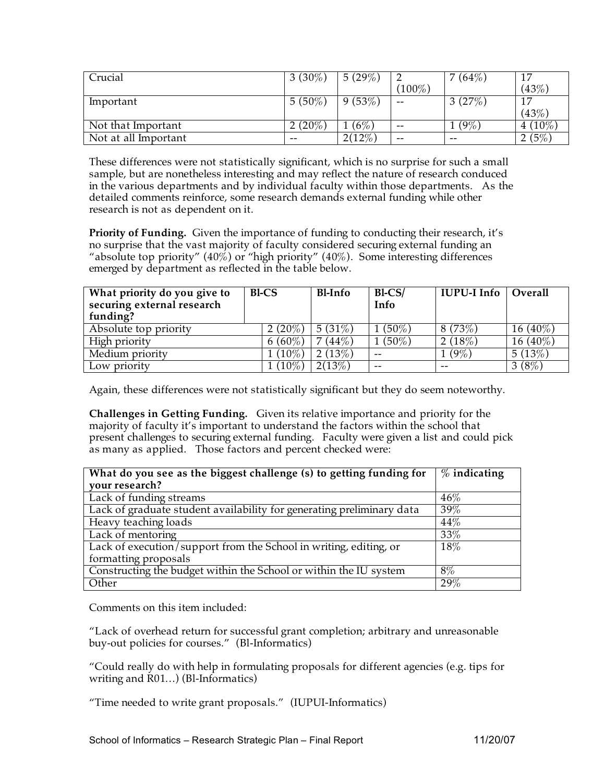| Crucial              | 3 $(30\%)$ | 5 $(29\%)$ |                          | $^{\prime}\ (64\%)$<br>$\overline{7}$ | 17        |
|----------------------|------------|------------|--------------------------|---------------------------------------|-----------|
|                      |            |            | $(100\%)$                |                                       | (43%)     |
| Important            | $5(50\%)$  | 9(53%)     | $- -$                    | 3(27%)                                | 17        |
|                      |            |            |                          |                                       | (43%)     |
| Not that Important   | $2(20\%)$  | (6%        | $\overline{\phantom{m}}$ | $(9\%)$                               | $4(10\%)$ |
| Not at all Important | $- -$      | $2(12\%)$  | $- -$                    | $- -$                                 | (5%)      |

These differences were not statistically significant, which is no surprise for such a small sample, but are nonetheless interesting and may reflect the nature of research conduced in the various departments and by individual faculty within those departments. As the detailed comments reinforce, some research demands external funding while other research is not as dependent on it.

**Priority of Funding.** Given the importance of funding to conducting their research, it's no surprise that the vast majority of faculty considered securing external funding an "absolute top priority"  $(40\%)$  or "high priority"  $(40\%)$ . Some interesting differences emerged by department as reflected in the table below.

| What priority do you give to | <b>Bl-CS</b> | <b>Bl-Info</b> | $B1-CS/$  | IUPU-I Info | Overall     |
|------------------------------|--------------|----------------|-----------|-------------|-------------|
| securing external research   |              |                | Info      |             |             |
| funding?                     |              |                |           |             |             |
| Absolute top priority        | 2 $(20\%)$   | 5 $(31\%)$     | $1(50\%)$ | 8(73%)      | $16(40\%)$  |
| High priority                | 6 (60%)      | 7(44%)         | $1(50\%)$ | 2(18%)      | 16 $(40\%)$ |
| Medium priority              | $(10\%)$     | 2 $(13%)$      | $- -$     | $1(9\%)$    | 5 $(13%)$   |
| Low priority                 | $(10\%)$     | 2(13%)         | $- -$     | $ -$        | 3(8%)       |

Again, these differences were not statistically significant but they do seem noteworthy.

**Challenges in Getting Funding.** Given its relative importance and priority for the majority of faculty it's important to understand the factors within the school that present challenges to securing external funding. Faculty were given a list and could pick

as many as applied. Those factors and percent checked were:

| What do you see as the biggest challenge (s) to getting funding for   | $\%$ indicating |
|-----------------------------------------------------------------------|-----------------|
| your research?                                                        |                 |
| Lack of funding streams                                               | $46\%$          |
| Lack of graduate student availability for generating preliminary data | 39%             |
| Heavy teaching loads                                                  | $44\%$          |
| Lack of mentoring                                                     | 33%             |
| Lack of execution/support from the School in writing, editing, or     | $18\%$          |
| formatting proposals                                                  |                 |
| Constructing the budget within the School or within the IU system     | $8\%$           |
| Other                                                                 | 29%             |

Comments on this item included:

"Lack of overhead return for successful grant completion; arbitrary and unreasonable buy-out policies for courses." (Bl-Informatics)

"Could really do with help in formulating proposals for different agencies (e.g. tips for writing and R01…) (Bl-Informatics)

"Time needed to write grant proposals." (IUPUI-Informatics)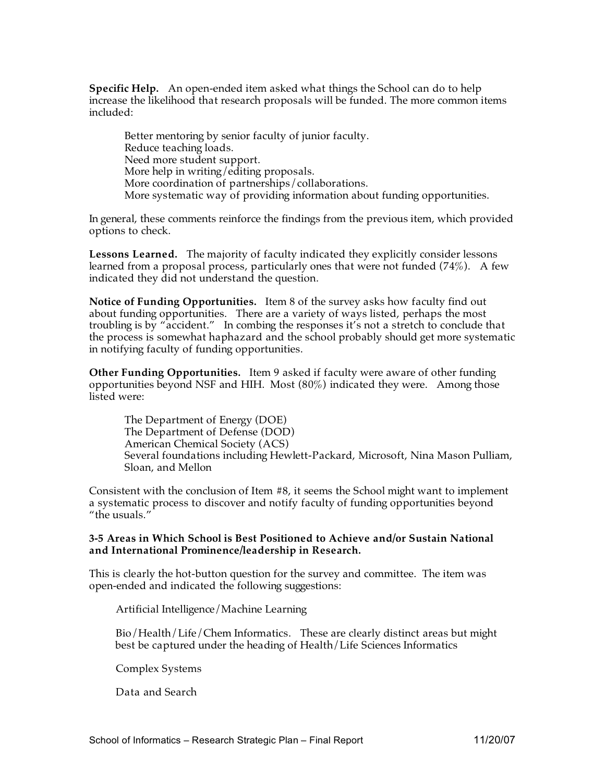**Specific Help.** An open-ended item asked what things the School can do to help increase the likelihood that research proposals will be funded. The more common items included:

Better mentoring by senior faculty of junior faculty. Reduce teaching loads. Need more student support. More help in writing/editing proposals. More coordination of partnerships/collaborations. More systematic way of providing information about funding opportunities.

In general, these comments reinforce the findings from the previous item, which provided options to check.

**Lessons Learned.** The majority of faculty indicated they explicitly consider lessons learned from a proposal process, particularly ones that were not funded  $(74\%)$ . A few indicated they did not understand the question.

**Notice of Funding Opportunities.** Item 8 of the survey asks how faculty find out about funding opportunities. There are a variety of ways listed, perhaps the most troubling is by "accident." In combing the responses it's not a stretch to conclude that the process is somewhat haphazard and the school probably should get more systematic in notifying faculty of funding opportunities.

**Other Funding Opportunities.** Item 9 asked if faculty were aware of other funding opportunities beyond NSF and HIH. Most (80%) indicated they were. Among those listed were:

The Department of Energy (DOE) The Department of Defense (DOD) American Chemical Society (ACS) Several foundations including Hewlett-Packard, Microsoft, Nina Mason Pulliam, Sloan, and Mellon

Consistent with the conclusion of Item #8, it seems the School might want to implement a systematic process to discover and notify faculty of funding opportunities beyond "the usuals."

#### **3-5 Areas in Which School is Best Positioned to Achieve and/or Sustain National and International Prominence/leadership in Research.**

This is clearly the hot-button question for the survey and committee. The item was open-ended and indicated the following suggestions:

Artificial Intelligence/Machine Learning

Bio/Health/Life/Chem Informatics. These are clearly distinct areas but might best be captured under the heading of Health/Life Sciences Informatics

Complex Systems

Data and Search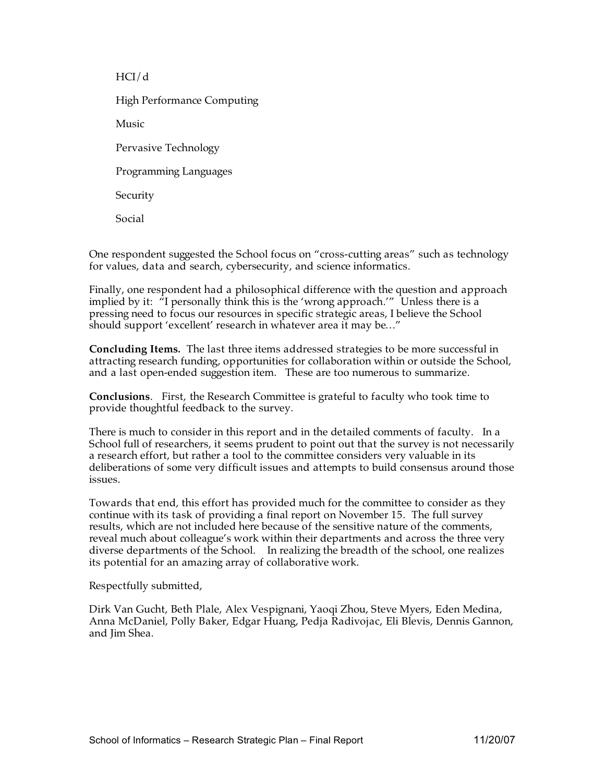HCI/d

High Performance Computing

Music

Pervasive Technology

Programming Languages

Security

Social

One respondent suggested the School focus on "cross-cutting areas" such as technology for values, data and search, cybersecurity, and science informatics.

Finally, one respondent had a philosophical difference with the question and approach implied by it: "I personally think this is the 'wrong approach.'" Unless there is a pressing need to focus our resources in specific strategic areas, I believe the School should support 'excellent' research in whatever area it may be…"

**Concluding Items.** The last three items addressed strategies to be more successful in attracting research funding, opportunities for collaboration within or outside the School, and a last open-ended suggestion item. These are too numerous to summarize.

**Conclusions**. First, the Research Committee is grateful to faculty who took time to provide thoughtful feedback to the survey.

There is much to consider in this report and in the detailed comments of faculty. In a School full of researchers, it seems prudent to point out that the survey is not necessarily a research effort, but rather a tool to the committee considers very valuable in its deliberations of some very difficult issues and attempts to build consensus around those issues.

Towards that end, this effort has provided much for the committee to consider as they continue with its task of providing a final report on November 15. The full survey results, which are not included here because of the sensitive nature of the comments, reveal much about colleague's work within their departments and across the three very diverse departments of the School. In realizing the breadth of the school, one realizes its potential for an amazing array of collaborative work.

Respectfully submitted,

Dirk Van Gucht, Beth Plale, Alex Vespignani, Yaoqi Zhou, Steve Myers, Eden Medina, Anna McDaniel, Polly Baker, Edgar Huang, Pedja Radivojac, Eli Blevis, Dennis Gannon, and Jim Shea.